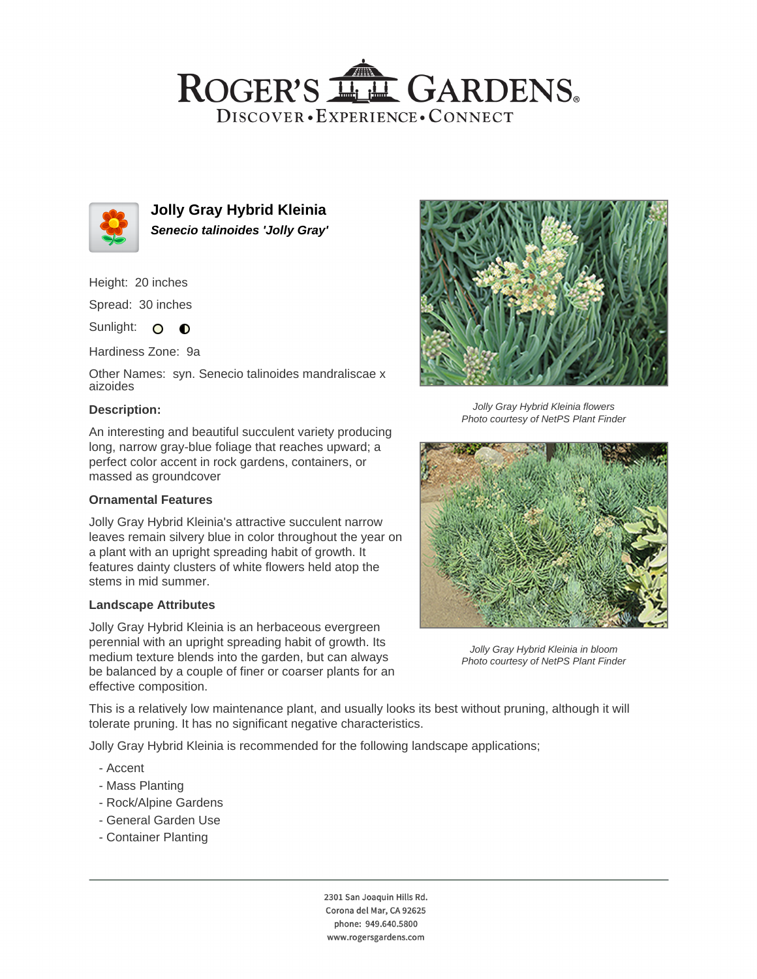## ROGER'S LL GARDENS. DISCOVER · EXPERIENCE · CONNECT



**Jolly Gray Hybrid Kleinia Senecio talinoides 'Jolly Gray'**

Height: 20 inches

Spread: 30 inches

Sunlight: O **O** 

Hardiness Zone: 9a

Other Names: syn. Senecio talinoides mandraliscae x aizoides

### **Description:**

An interesting and beautiful succulent variety producing long, narrow gray-blue foliage that reaches upward; a perfect color accent in rock gardens, containers, or massed as groundcover

### **Ornamental Features**

Jolly Gray Hybrid Kleinia's attractive succulent narrow leaves remain silvery blue in color throughout the year on a plant with an upright spreading habit of growth. It features dainty clusters of white flowers held atop the stems in mid summer.

### **Landscape Attributes**

Jolly Gray Hybrid Kleinia is an herbaceous evergreen perennial with an upright spreading habit of growth. Its medium texture blends into the garden, but can always be balanced by a couple of finer or coarser plants for an effective composition.



Jolly Gray Hybrid Kleinia flowers Photo courtesy of NetPS Plant Finder



Jolly Gray Hybrid Kleinia in bloom Photo courtesy of NetPS Plant Finder

This is a relatively low maintenance plant, and usually looks its best without pruning, although it will tolerate pruning. It has no significant negative characteristics.

Jolly Gray Hybrid Kleinia is recommended for the following landscape applications;

- Accent
- Mass Planting
- Rock/Alpine Gardens
- General Garden Use
- Container Planting

2301 San Joaquin Hills Rd. Corona del Mar, CA 92625 phone: 949.640.5800 www.rogersgardens.com